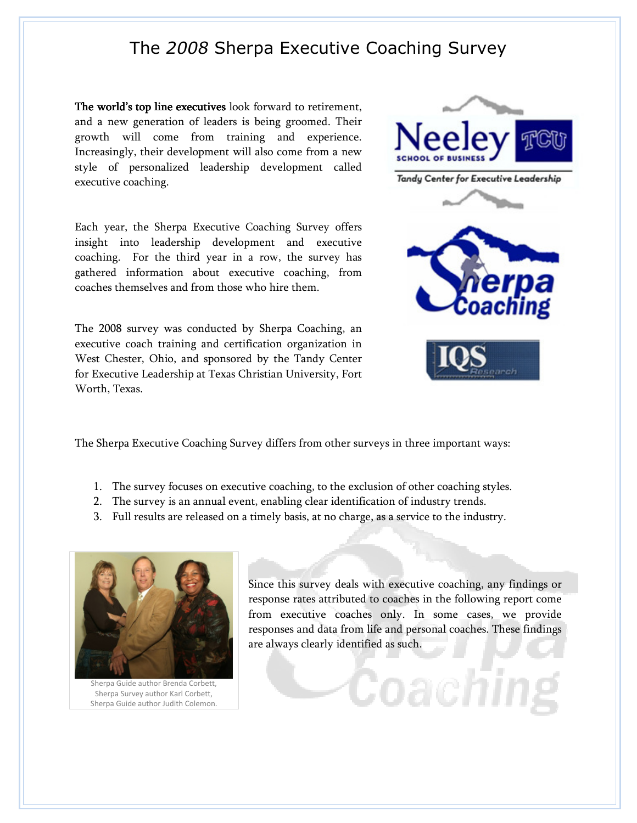The world's top line executives look forward to retirement, and a new generation of leaders is being groomed. Their growth will come from training and experience. Increasingly, their development will also come from a new style of personalized leadership development called executive coaching.

Each year, the Sherpa Executive Coaching Survey offers insight into leadership development and executive coaching. For the third year in a row, the survey has gathered information about executive coaching, from coaches themselves and from those who hire them.

The 2008 survey was conducted by Sherpa Coaching, an executive coach training and certification organization in West Chester, Ohio, and sponsored by the Tandy Center for Executive Leadership at Texas Christian University, Fort Worth, Texas.



The Sherpa Executive Coaching Survey differs from other surveys in three important ways:

- 1. The survey focuses on executive coaching, to the exclusion of other coaching styles.
- 2. The survey is an annual event, enabling clear identification of industry trends.
- 3. Full results are released on a timely basis, at no charge, as a service to the industry.



Sherpa Guide author Brenda Corbett, Sherpa Survey author Karl Corbett, Sherpa Guide author Judith Colemon.

Since this survey deals with executive coaching, any findings or response rates attributed to coaches in the following report come from executive coaches only. In some cases, we provide responses and data from life and personal coaches. These findings are always clearly identified as such.

Coachli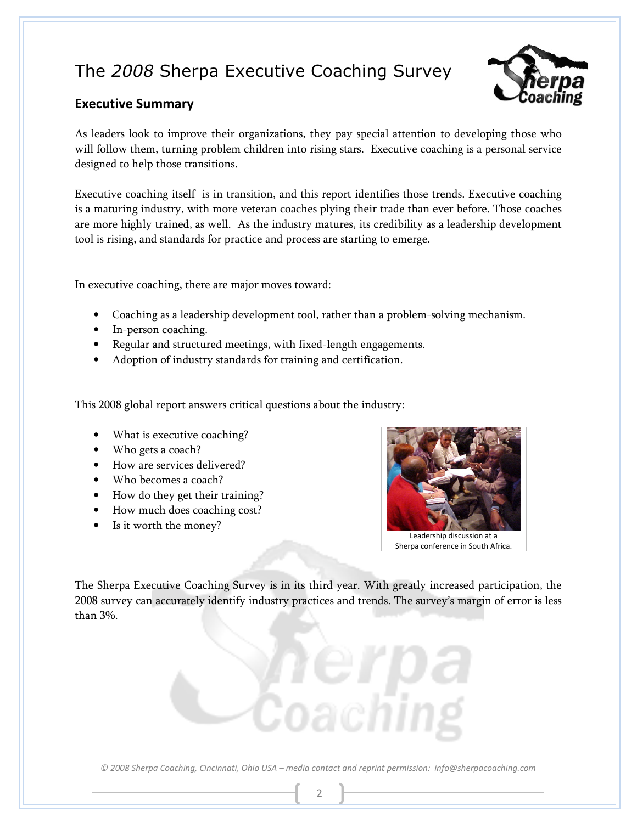

### Executive Summary

As leaders look to improve their organizations, they pay special attention to developing those who will follow them, turning problem children into rising stars. Executive coaching is a personal service designed to help those transitions.

Executive coaching itself is in transition, and this report identifies those trends. Executive coaching is a maturing industry, with more veteran coaches plying their trade than ever before. Those coaches are more highly trained, as well. As the industry matures, its credibility as a leadership development tool is rising, and standards for practice and process are starting to emerge.

In executive coaching, there are major moves toward:

- Coaching as a leadership development tool, rather than a problem-solving mechanism.
- In-person coaching.
- Regular and structured meetings, with fixed-length engagements.
- Adoption of industry standards for training and certification.

This 2008 global report answers critical questions about the industry:

- What is executive coaching?
- Who gets a coach?
- How are services delivered?
- Who becomes a coach?
- How do they get their training?
- How much does coaching cost?
- Is it worth the money?



Sherpa conference in South Africa.

The Sherpa Executive Coaching Survey is in its third year. With greatly increased participation, the 2008 survey can accurately identify industry practices and trends. The survey's margin of error is less than 3%.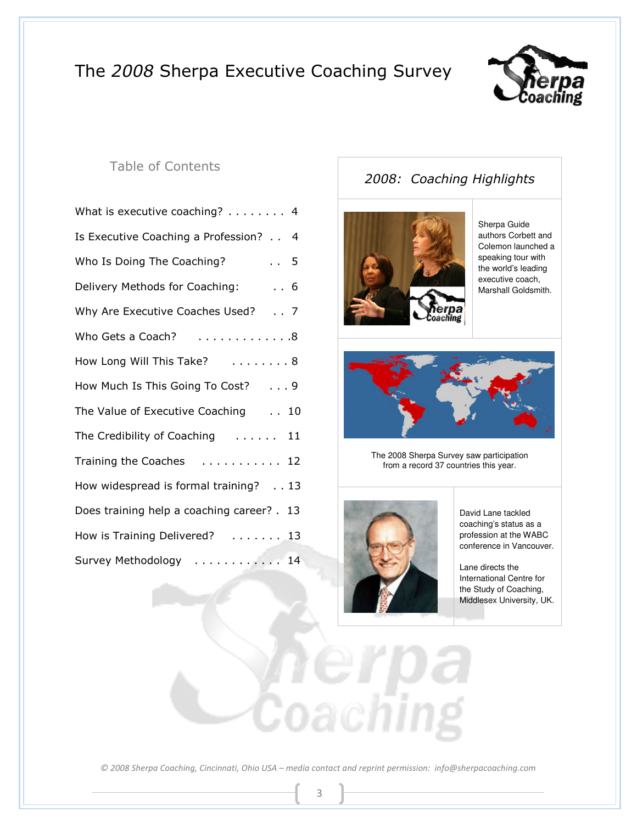

### Table of Contents

### 2008: Coaching Highlights



Sherpa Guide authors Corbett and Colemon launched a speaking tour with the world's leading executive coach, Marshall Goldsmith.



The 2008 Sherpa Survey saw participation from a record 37 countries this year.



David Lane tackled coaching's status as a profession at the WABC conference in Vancouver.

Lane directs the International Centre for the Study of Coaching, Middlesex University, UK.

© 2008 Sherpa Coaching, Cincinnati, Ohio USA – media contact and reprint permission: info@sherpacoaching.com

3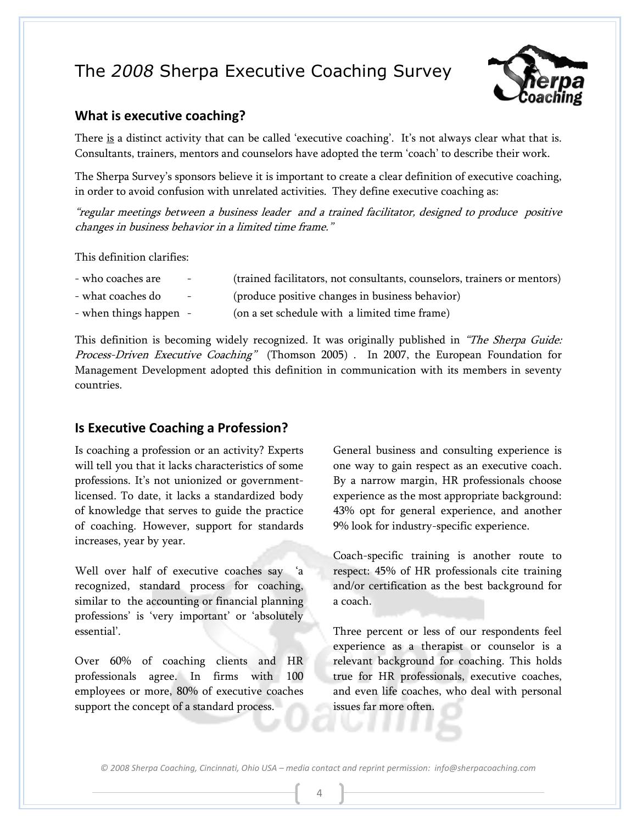

### What is executive coaching?

There is a distinct activity that can be called 'executive coaching'. It's not always clear what that is. Consultants, trainers, mentors and counselors have adopted the term 'coach' to describe their work.

The Sherpa Survey's sponsors believe it is important to create a clear definition of executive coaching, in order to avoid confusion with unrelated activities. They define executive coaching as:

"regular meetings between a business leader and a trained facilitator, designed to produce positive changes in business behavior in a limited time frame."

This definition clarifies:

| - who coaches are | $\sim$ | (trained facilitators, not consultants, counselors, trainers or mentors) |
|-------------------|--------|--------------------------------------------------------------------------|
| - what coaches do | $\sim$ | (produce positive changes in business behavior)                          |

- when things happen - (on a set schedule with a limited time frame)

This definition is becoming widely recognized. It was originally published in "The Sherpa Guide: Process-Driven Executive Coaching" (Thomson 2005) . In 2007, the European Foundation for Management Development adopted this definition in communication with its members in seventy countries.

### Is Executive Coaching a Profession?

Is coaching a profession or an activity? Experts will tell you that it lacks characteristics of some professions. It's not unionized or governmentlicensed. To date, it lacks a standardized body of knowledge that serves to guide the practice of coaching. However, support for standards increases, year by year.

Well over half of executive coaches say 'a recognized, standard process for coaching, similar to the accounting or financial planning professions' is 'very important' or 'absolutely essential'.

Over 60% of coaching clients and HR professionals agree. In firms with 100 employees or more, 80% of executive coaches support the concept of a standard process.

General business and consulting experience is one way to gain respect as an executive coach. By a narrow margin, HR professionals choose experience as the most appropriate background: 43% opt for general experience, and another 9% look for industry-specific experience.

Coach-specific training is another route to respect: 45% of HR professionals cite training and/or certification as the best background for a coach.

Three percent or less of our respondents feel experience as a therapist or counselor is a relevant background for coaching. This holds true for HR professionals, executive coaches, and even life coaches, who deal with personal issues far more often.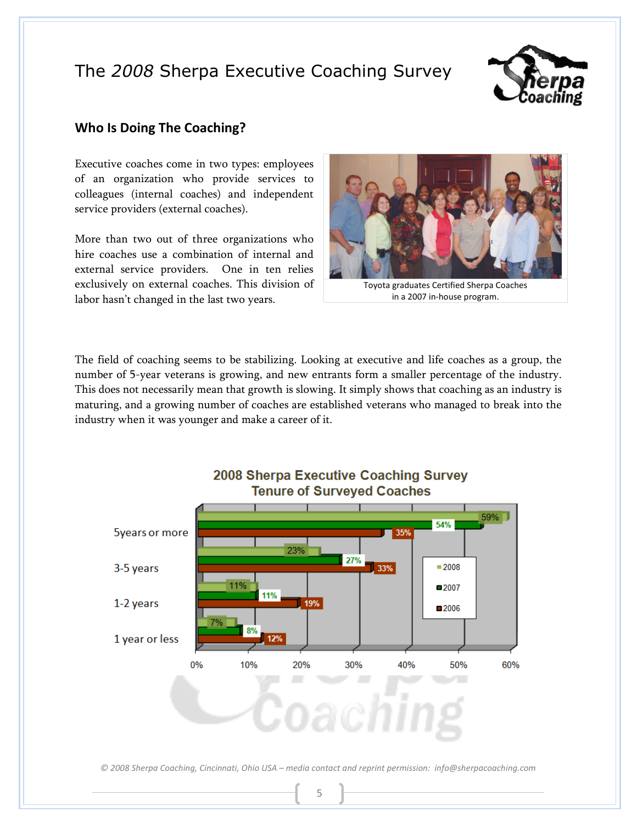

### Who Is Doing The Coaching?

Executive coaches come in two types: employees of an organization who provide services to colleagues (internal coaches) and independent service providers (external coaches).

More than two out of three organizations who hire coaches use a combination of internal and external service providers. One in ten relies exclusively on external coaches. This division of labor hasn't changed in the last two years.



Toyota graduates Certified Sherpa Coaches in a 2007 in-house program.

The field of coaching seems to be stabilizing. Looking at executive and life coaches as a group, the number of 5-year veterans is growing, and new entrants form a smaller percentage of the industry. This does not necessarily mean that growth is slowing. It simply shows that coaching as an industry is maturing, and a growing number of coaches are established veterans who managed to break into the industry when it was younger and make a career of it.

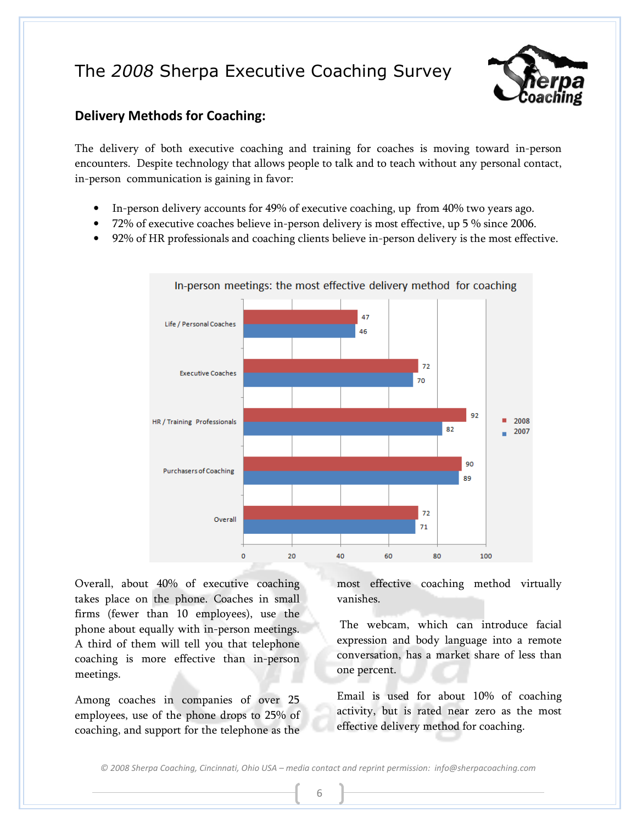

### Delivery Methods for Coaching:

The delivery of both executive coaching and training for coaches is moving toward in-person encounters. Despite technology that allows people to talk and to teach without any personal contact, in-person communication is gaining in favor:

- In-person delivery accounts for 49% of executive coaching, up from 40% two years ago.
- 72% of executive coaches believe in-person delivery is most effective, up 5 % since 2006.
- 92% of HR professionals and coaching clients believe in-person delivery is the most effective.



Overall, about 40% of executive coaching takes place on the phone. Coaches in small firms (fewer than 10 employees), use the phone about equally with in-person meetings. A third of them will tell you that telephone coaching is more effective than in-person meetings.

Among coaches in companies of over 25 employees, use of the phone drops to 25% of coaching, and support for the telephone as the most effective coaching method virtually vanishes.

 The webcam, which can introduce facial expression and body language into a remote conversation, has a market share of less than one percent.

Email is used for about 10% of coaching activity, but is rated near zero as the most effective delivery method for coaching.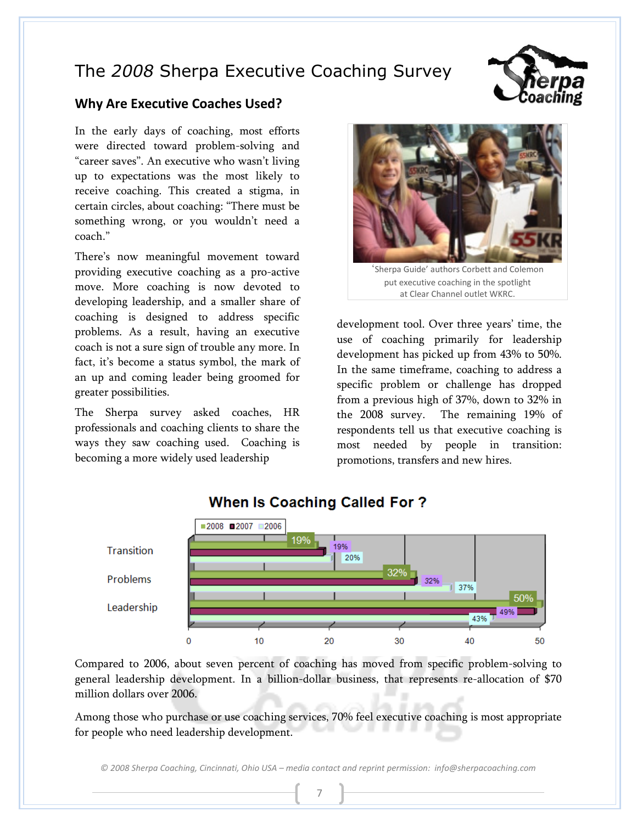

### Why Are Executive Coaches Used?

In the early days of coaching, most efforts were directed toward problem-solving and "career saves". An executive who wasn't living up to expectations was the most likely to receive coaching. This created a stigma, in certain circles, about coaching: "There must be something wrong, or you wouldn't need a coach."

There's now meaningful movement toward providing executive coaching as a pro-active move. More coaching is now devoted to developing leadership, and a smaller share of coaching is designed to address specific problems. As a result, having an executive coach is not a sure sign of trouble any more. In fact, it's become a status symbol, the mark of an up and coming leader being groomed for greater possibilities.

The Sherpa survey asked coaches, HR professionals and coaching clients to share the ways they saw coaching used. Coaching is becoming a more widely used leadership



'Sherpa Guide' authors Corbett and Colemon put executive coaching in the spotlight at Clear Channel outlet WKRC.

development tool. Over three years' time, the use of coaching primarily for leadership development has picked up from 43% to 50%. In the same timeframe, coaching to address a specific problem or challenge has dropped from a previous high of 37%, down to 32% in the 2008 survey. The remaining 19% of respondents tell us that executive coaching is most needed by people in transition: promotions, transfers and new hires.



### **When Is Coaching Called For?**

Compared to 2006, about seven percent of coaching has moved from specific problem-solving to general leadership development. In a billion-dollar business, that represents re-allocation of \$70 million dollars over 2006.

Among those who purchase or use coaching services, 70% feel executive coaching is most appropriate for people who need leadership development.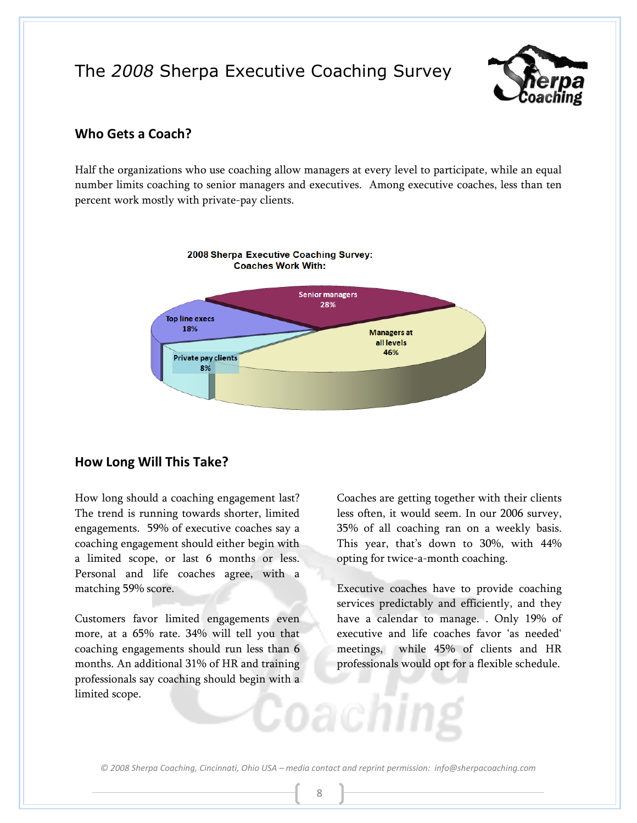

### Who Gets a Coach?

Half the organizations who use coaching allow managers at every level to participate, while an equal number limits coaching to senior managers and executives. Among executive coaches, less than ten percent work mostly with private-pay clients.



### How Long Will This Take?

How long should a coaching engagement last? The trend is running towards shorter, limited engagements. 59% of executive coaches say a coaching engagement should either begin with a limited scope, or last 6 months or less. Personal and life coaches agree, with a matching 59% score.

Customers favor limited engagements even more, at a 65% rate. 34% will tell you that coaching engagements should run less than 6 months. An additional 31% of HR and training professionals say coaching should begin with a limited scope.

Coaches are getting together with their clients less often, it would seem. In our 2006 survey, 35% of all coaching ran on a weekly basis. This year, that's down to 30%, with 44% opting for twice-a-month coaching.

Executive coaches have to provide coaching services predictably and efficiently, and they have a calendar to manage. . Only 19% of executive and life coaches favor 'as needed' meetings, while 45% of clients and HR professionals would opt for a flexible schedule.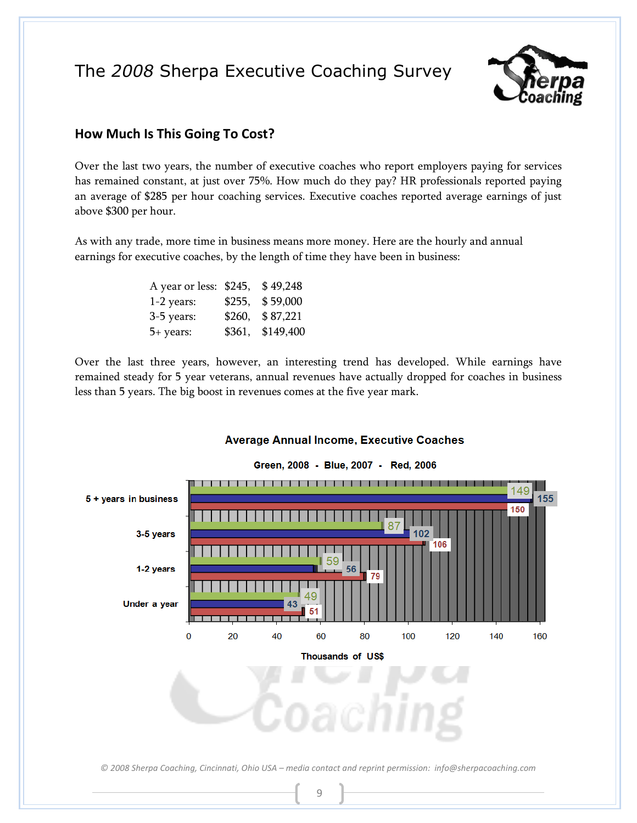

### How Much Is This Going To Cost?

Over the last two years, the number of executive coaches who report employers paying for services has remained constant, at just over 75%. How much do they pay? HR professionals reported paying an average of \$285 per hour coaching services. Executive coaches reported average earnings of just above \$300 per hour.

As with any trade, more time in business means more money. Here are the hourly and annual earnings for executive coaches, by the length of time they have been in business:

| A year or less: \$245, |        | \$49,248  |
|------------------------|--------|-----------|
| $1-2$ years:           | \$255, | \$59,000  |
| 3-5 years:             | \$260, | \$87,221  |
| 5+ years:              | \$361, | \$149,400 |

Over the last three years, however, an interesting trend has developed. While earnings have remained steady for 5 year veterans, annual revenues have actually dropped for coaches in business less than 5 years. The big boost in revenues comes at the five year mark.

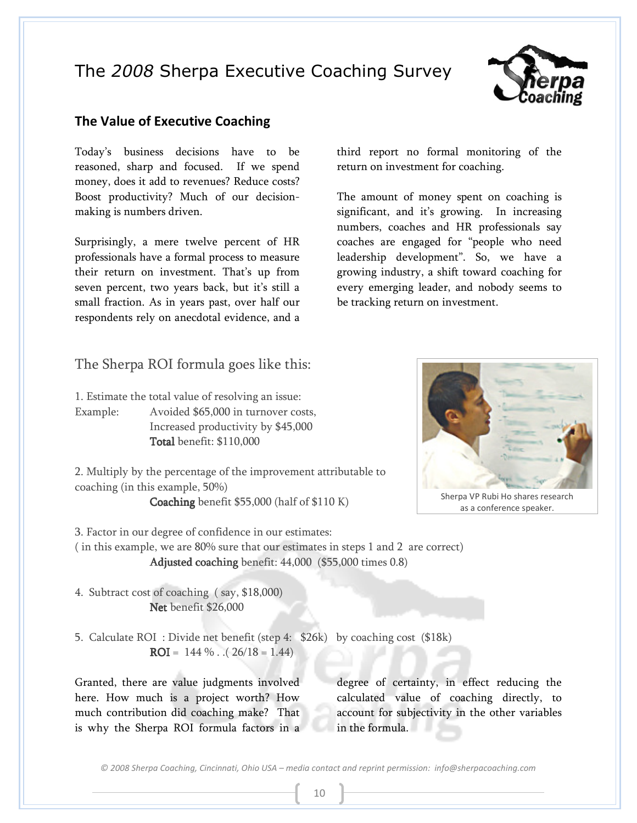

### The Value of Executive Coaching

Today's business decisions have to be reasoned, sharp and focused. If we spend money, does it add to revenues? Reduce costs? Boost productivity? Much of our decisionmaking is numbers driven.

Surprisingly, a mere twelve percent of HR professionals have a formal process to measure their return on investment. That's up from seven percent, two years back, but it's still a small fraction. As in years past, over half our respondents rely on anecdotal evidence, and a

The Sherpa ROI formula goes like this:

1. Estimate the total value of resolving an issue:

Example: Avoided \$65,000 in turnover costs, Increased productivity by \$45,000 Total benefit: \$110,000

2. Multiply by the percentage of the improvement attributable to coaching (in this example, 50%)

Coaching benefit  $$55,000$  (half of  $$110 K$ )

3. Factor in our degree of confidence in our estimates:

( in this example, we are 80% sure that our estimates in steps 1 and 2 are correct) Adjusted coaching benefit:  $44,000$  (\$55,000 times 0.8)

4. Subtract cost of coaching ( say, \$18,000) Net benefit \$26,000

5. Calculate ROI : Divide net benefit (step 4: \$26k) by coaching cost (\$18k) ROI =  $144\%$ .  $(26/18 = 1.44)$ 

Granted, there are value judgments involved here. How much is a project worth? How much contribution did coaching make? That is why the Sherpa ROI formula factors in a

degree of certainty, in effect reducing the calculated value of coaching directly, to account for subjectivity in the other variables in the formula.

© 2008 Sherpa Coaching, Cincinnati, Ohio USA – media contact and reprint permission: info@sherpacoaching.com



The amount of money spent on coaching is significant, and it's growing. In increasing numbers, coaches and HR professionals say coaches are engaged for "people who need leadership development". So, we have a growing industry, a shift toward coaching for every emerging leader, and nobody seems to be tracking return on investment.



as a conference speaker.

10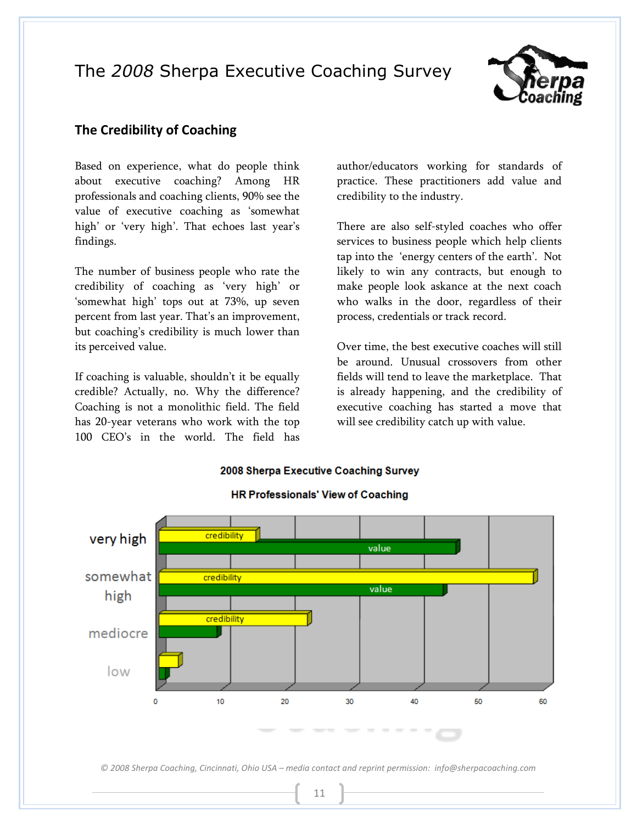

### The Credibility of Coaching

Based on experience, what do people think about executive coaching? Among HR professionals and coaching clients, 90% see the value of executive coaching as 'somewhat high' or 'very high'. That echoes last year's findings.

The number of business people who rate the credibility of coaching as 'very high' or 'somewhat high' tops out at 73%, up seven percent from last year. That's an improvement, but coaching's credibility is much lower than its perceived value.

If coaching is valuable, shouldn't it be equally credible? Actually, no. Why the difference? Coaching is not a monolithic field. The field has 20-year veterans who work with the top 100 CEO's in the world. The field has

author/educators working for standards of practice. These practitioners add value and credibility to the industry.

There are also self-styled coaches who offer services to business people which help clients tap into the 'energy centers of the earth'. Not likely to win any contracts, but enough to make people look askance at the next coach who walks in the door, regardless of their process, credentials or track record.

Over time, the best executive coaches will still be around. Unusual crossovers from other fields will tend to leave the marketplace. That is already happening, and the credibility of executive coaching has started a move that will see credibility catch up with value.

2008 Sherpa Executive Coaching Survey



#### **HR Professionals' View of Coaching**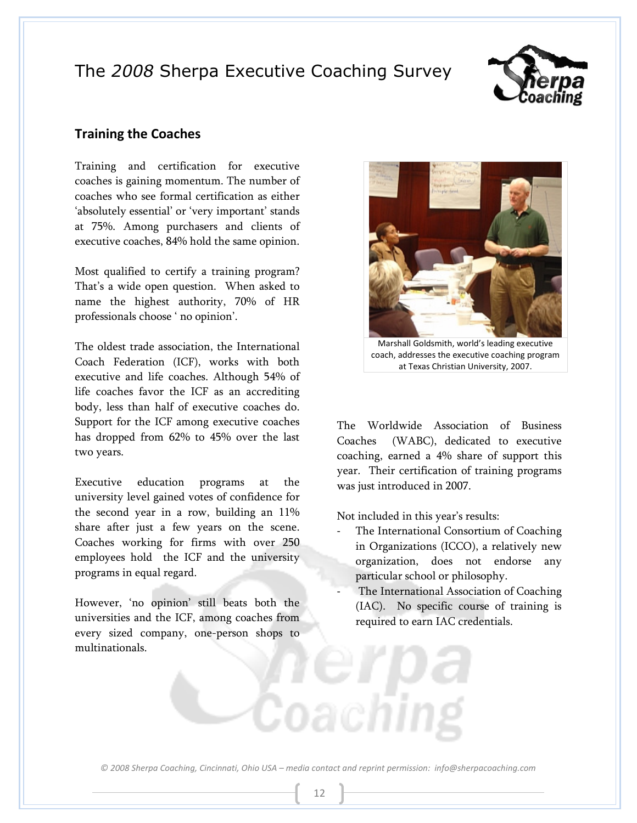

### Training the Coaches

Training and certification for executive coaches is gaining momentum. The number of coaches who see formal certification as either 'absolutely essential' or 'very important' stands at 75%. Among purchasers and clients of executive coaches, 84% hold the same opinion.

Most qualified to certify a training program? That's a wide open question. When asked to name the highest authority, 70% of HR professionals choose ' no opinion'.

The oldest trade association, the International Coach Federation (ICF), works with both executive and life coaches. Although 54% of life coaches favor the ICF as an accrediting body, less than half of executive coaches do. Support for the ICF among executive coaches has dropped from 62% to 45% over the last two years.

Executive education programs at the university level gained votes of confidence for the second year in a row, building an 11% share after just a few years on the scene. Coaches working for firms with over 250 employees hold the ICF and the university programs in equal regard.

However, 'no opinion' still beats both the universities and the ICF, among coaches from every sized company, one-person shops to multinationals.



Marshall Goldsmith, world's leading executive coach, addresses the executive coaching program at Texas Christian University, 2007.

The Worldwide Association of Business Coaches (WABC), dedicated to executive coaching, earned a 4% share of support this year. Their certification of training programs was just introduced in 2007.

Not included in this year's results:

- The International Consortium of Coaching in Organizations (ICCO), a relatively new organization, does not endorse any particular school or philosophy.
- The International Association of Coaching (IAC). No specific course of training is required to earn IAC credentials.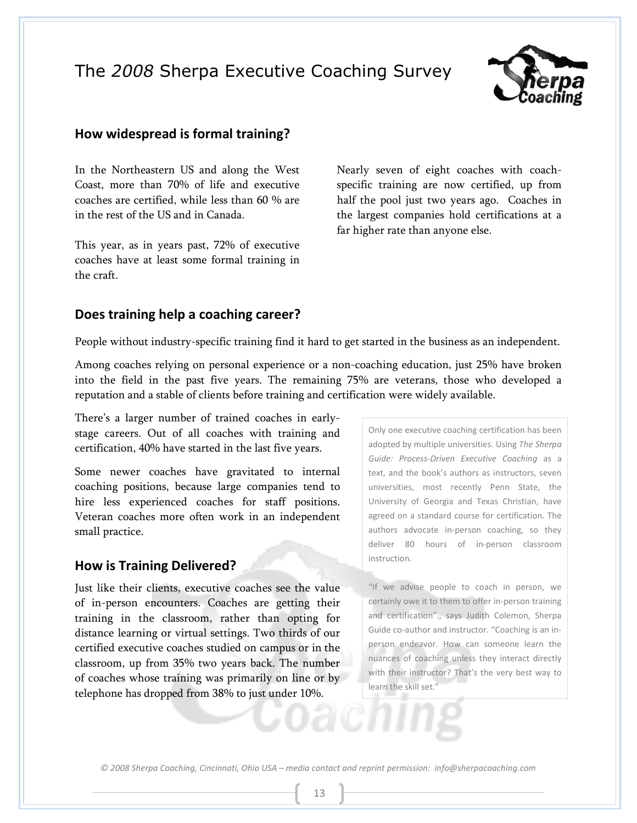

### How widespread is formal training?

In the Northeastern US and along the West Coast, more than 70% of life and executive coaches are certified, while less than 60 % are in the rest of the US and in Canada.

This year, as in years past, 72% of executive coaches have at least some formal training in the craft.

Nearly seven of eight coaches with coachspecific training are now certified, up from half the pool just two years ago. Coaches in the largest companies hold certifications at a far higher rate than anyone else.

#### Does training help a coaching career?

People without industry-specific training find it hard to get started in the business as an independent.

Among coaches relying on personal experience or a non-coaching education, just 25% have broken into the field in the past five years. The remaining 75% are veterans, those who developed a reputation and a stable of clients before training and certification were widely available.

There's a larger number of trained coaches in earlystage careers. Out of all coaches with training and certification, 40% have started in the last five years.

Some newer coaches have gravitated to internal coaching positions, because large companies tend to hire less experienced coaches for staff positions. Veteran coaches more often work in an independent small practice.

#### How is Training Delivered?

Just like their clients, executive coaches see the value of in-person encounters. Coaches are getting their training in the classroom, rather than opting for distance learning or virtual settings. Two thirds of our certified executive coaches studied on campus or in the classroom, up from 35% two years back. The number of coaches whose training was primarily on line or by telephone has dropped from 38% to just under 10%.

Only one executive coaching certification has been adopted by multiple universities. Using The Sherpa Guide: Process-Driven Executive Coaching as a text, and the book's authors as instructors, seven universities, most recently Penn State, the University of Georgia and Texas Christian, have agreed on a standard course for certification. The authors advocate in-person coaching, so they deliver 80 hours of in-person classroom instruction.

"If we advise people to coach in person, we certainly owe it to them to offer in-person training and certification"., says Judith Colemon, Sherpa Guide co-author and instructor. "Coaching is an inperson endeavor. How can someone learn the nuances of coaching unless they interact directly with their instructor? That's the very best way to learn the skill set."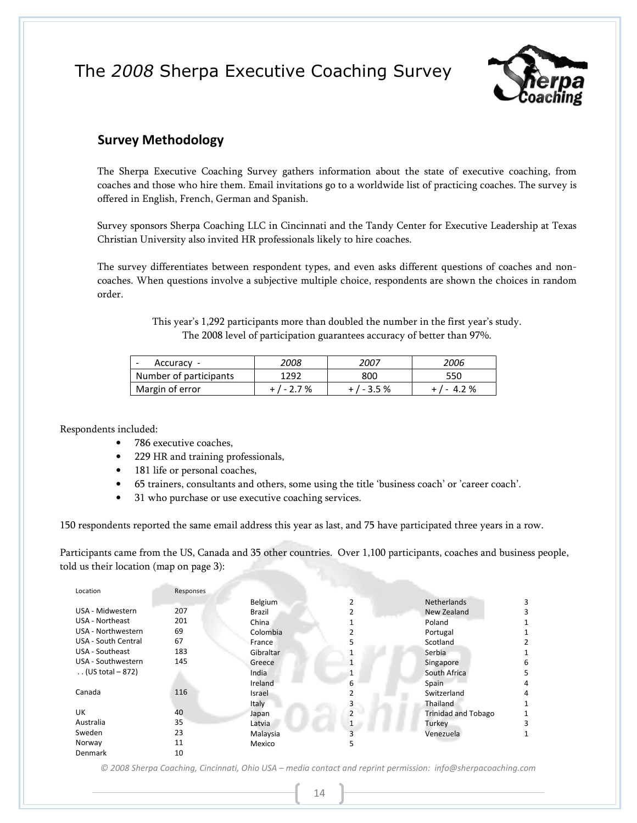

### Survey Methodology

The Sherpa Executive Coaching Survey gathers information about the state of executive coaching, from coaches and those who hire them. Email invitations go to a worldwide list of practicing coaches. The survey is offered in English, French, German and Spanish.

Survey sponsors Sherpa Coaching LLC in Cincinnati and the Tandy Center for Executive Leadership at Texas Christian University also invited HR professionals likely to hire coaches.

The survey differentiates between respondent types, and even asks different questions of coaches and noncoaches. When questions involve a subjective multiple choice, respondents are shown the choices in random order.

> This year's 1,292 participants more than doubled the number in the first year's study. The 2008 level of participation guarantees accuracy of better than 97%.

| Accuracy               | 2008      | 2007        | 2006       |
|------------------------|-----------|-------------|------------|
| Number of participants | 1292      | 800         | 550        |
| Margin of error        | $+/-2.7%$ | + / - 3.5 % | $+/- 4.2%$ |

Respondents included:

- 786 executive coaches,
- 229 HR and training professionals,
- 181 life or personal coaches,
- 65 trainers, consultants and others, some using the title 'business coach' or 'career coach'.
- 31 who purchase or use executive coaching services.

150 respondents reported the same email address this year as last, and 75 have participated three years in a row.

Participants came from the US, Canada and 35 other countries. Over 1,100 participants, coaches and business people, told us their location (map on page 3):

| Location                   | Responses |           |                |                            |   |
|----------------------------|-----------|-----------|----------------|----------------------------|---|
|                            |           | Belgium   |                | <b>Netherlands</b>         |   |
| USA - Midwestern           | 207       | Brazil    |                | New Zealand                |   |
| USA - Northeast            | 201       | China     |                | Poland                     |   |
| USA - Northwestern         | 69        | Colombia  |                | Portugal                   |   |
| <b>USA - South Central</b> | 67        | France    |                | Scotland                   |   |
| USA - Southeast            | 183       | Gibraltar |                | Serbia                     |   |
| USA - Southwestern         | 145       | Greece    |                | Singapore                  | 6 |
| (US total $-872$ )         |           | India     |                | South Africa               | 5 |
|                            |           | Ireland   | 6              | Spain                      | 4 |
| Canada                     | 116       | Israel    |                | Switzerland                | 4 |
|                            |           | Italy     |                | Thailand                   |   |
| UK                         | 40        | Japan     | $\overline{ }$ | <b>Trinidad and Tobago</b> |   |
| Australia                  | 35        | Latvia    |                | Turkey                     | ξ |
| Sweden                     | 23        | Malaysia  |                | Venezuela                  |   |
| Norway                     | 11        | Mexico    |                |                            |   |
| Denmark                    | 10        |           |                |                            |   |